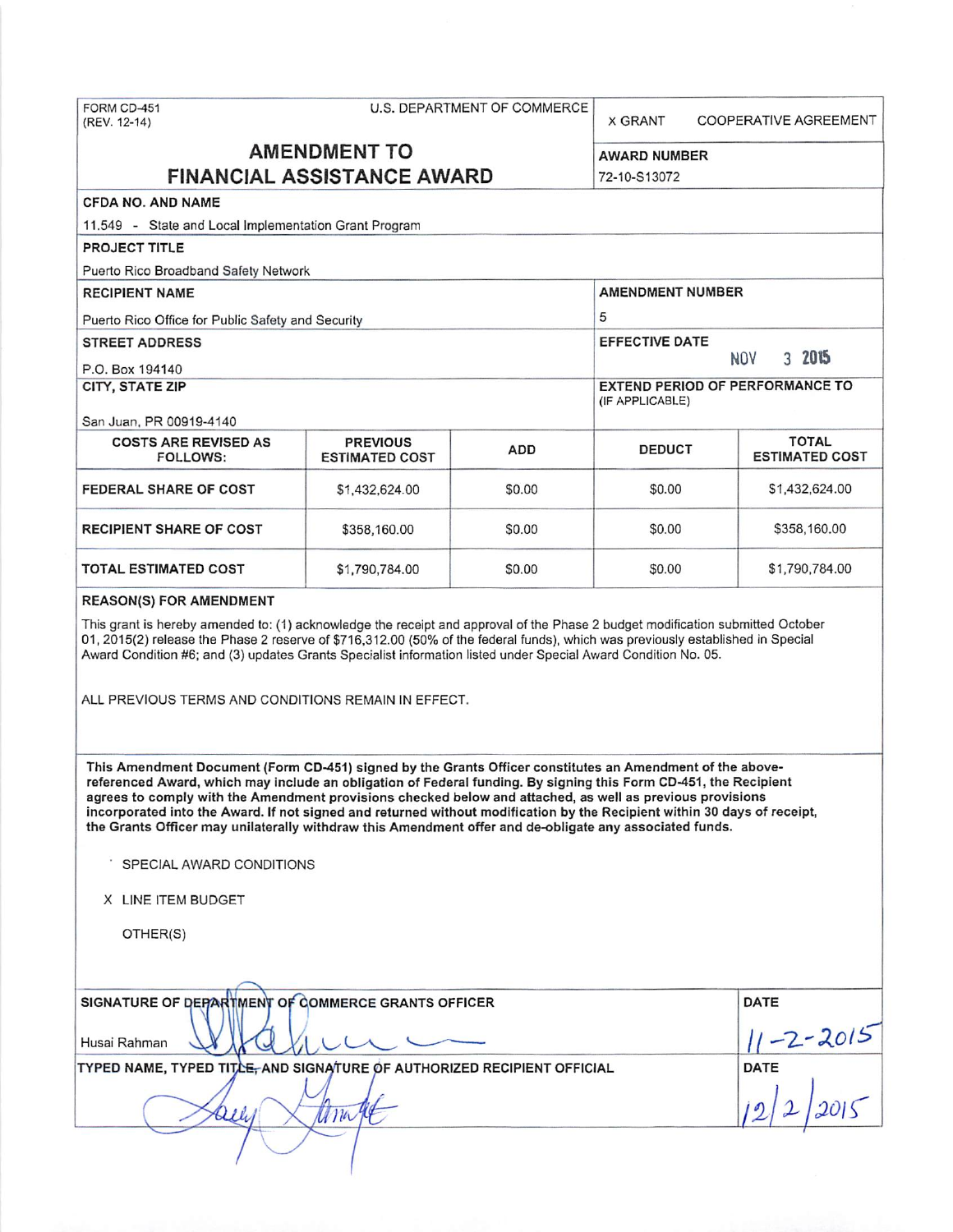| FORM CD-451<br>(REV. 12-14)                                                                                                                                                                                                                                                                                                                                                                                                                                                                                                                                                       | U.S. DEPARTMENT OF COMMERCE              |        |                         | <b>X GRANT</b><br>COOPERATIVE AGREEMENT |  |  |
|-----------------------------------------------------------------------------------------------------------------------------------------------------------------------------------------------------------------------------------------------------------------------------------------------------------------------------------------------------------------------------------------------------------------------------------------------------------------------------------------------------------------------------------------------------------------------------------|------------------------------------------|--------|-------------------------|-----------------------------------------|--|--|
| <b>AMENDMENT TO</b><br><b>FINANCIAL ASSISTANCE AWARD</b>                                                                                                                                                                                                                                                                                                                                                                                                                                                                                                                          |                                          |        | <b>AWARD NUMBER</b>     |                                         |  |  |
|                                                                                                                                                                                                                                                                                                                                                                                                                                                                                                                                                                                   |                                          |        | 72-10-S13072            |                                         |  |  |
| <b>CFDA NO. AND NAME</b><br>11.549 - State and Local Implementation Grant Program                                                                                                                                                                                                                                                                                                                                                                                                                                                                                                 |                                          |        |                         |                                         |  |  |
| <b>PROJECT TITLE</b>                                                                                                                                                                                                                                                                                                                                                                                                                                                                                                                                                              |                                          |        |                         |                                         |  |  |
| Puerto Rico Broadband Safety Network                                                                                                                                                                                                                                                                                                                                                                                                                                                                                                                                              |                                          |        |                         |                                         |  |  |
| <b>RECIPIENT NAME</b>                                                                                                                                                                                                                                                                                                                                                                                                                                                                                                                                                             |                                          |        | <b>AMENDMENT NUMBER</b> |                                         |  |  |
| Puerto Rico Office for Public Safety and Security                                                                                                                                                                                                                                                                                                                                                                                                                                                                                                                                 |                                          |        | 5                       |                                         |  |  |
| <b>STREET ADDRESS</b>                                                                                                                                                                                                                                                                                                                                                                                                                                                                                                                                                             |                                          |        | <b>EFFECTIVE DATE</b>   |                                         |  |  |
| P.O. Box 194140                                                                                                                                                                                                                                                                                                                                                                                                                                                                                                                                                                   |                                          |        | 3 2015<br><b>NOV</b>    |                                         |  |  |
| CITY, STATE ZIP                                                                                                                                                                                                                                                                                                                                                                                                                                                                                                                                                                   |                                          |        | (IF APPLICABLE)         | <b>EXTEND PERIOD OF PERFORMANCE TO</b>  |  |  |
| San Juan, PR 00919-4140                                                                                                                                                                                                                                                                                                                                                                                                                                                                                                                                                           |                                          |        |                         | <b>TOTAL</b>                            |  |  |
| <b>COSTS ARE REVISED AS</b><br>FOLLOWS:                                                                                                                                                                                                                                                                                                                                                                                                                                                                                                                                           | <b>PREVIOUS</b><br><b>ESTIMATED COST</b> | ADD    | <b>DEDUCT</b>           | <b>ESTIMATED COST</b>                   |  |  |
| <b>FEDERAL SHARE OF COST</b>                                                                                                                                                                                                                                                                                                                                                                                                                                                                                                                                                      | \$1,432,624.00                           | \$0.00 | \$0.00                  | \$1,432,624.00                          |  |  |
| <b>RECIPIENT SHARE OF COST</b>                                                                                                                                                                                                                                                                                                                                                                                                                                                                                                                                                    | \$358,160.00                             | \$0.00 | \$0.00                  | \$358,160.00                            |  |  |
| TOTAL ESTIMATED COST                                                                                                                                                                                                                                                                                                                                                                                                                                                                                                                                                              | \$1,790,784.00                           | \$0.00 | \$0.00                  | \$1,790,784.00                          |  |  |
| <b>REASON(S) FOR AMENDMENT</b>                                                                                                                                                                                                                                                                                                                                                                                                                                                                                                                                                    |                                          |        |                         |                                         |  |  |
| Award Condition #6; and (3) updates Grants Specialist information listed under Special Award Condition No. 05.<br>ALL PREVIOUS TERMS AND CONDITIONS REMAIN IN EFFECT.                                                                                                                                                                                                                                                                                                                                                                                                             |                                          |        |                         |                                         |  |  |
| This Amendment Document (Form CD-451) signed by the Grants Officer constitutes an Amendment of the above-<br>referenced Award, which may include an obligation of Federal funding. By signing this Form CD-451, the Recipient<br>agrees to comply with the Amendment provisions checked below and attached, as well as previous provisions<br>incorporated into the Award. If not signed and returned without modification by the Recipient within 30 days of receipt,<br>the Grants Officer may unilaterally withdraw this Amendment offer and de-obligate any associated funds. |                                          |        |                         |                                         |  |  |
| SPECIAL AWARD CONDITIONS                                                                                                                                                                                                                                                                                                                                                                                                                                                                                                                                                          |                                          |        |                         |                                         |  |  |
| X LINE ITEM BUDGET                                                                                                                                                                                                                                                                                                                                                                                                                                                                                                                                                                |                                          |        |                         |                                         |  |  |
| OTHER(S)                                                                                                                                                                                                                                                                                                                                                                                                                                                                                                                                                                          |                                          |        |                         |                                         |  |  |
|                                                                                                                                                                                                                                                                                                                                                                                                                                                                                                                                                                                   |                                          |        |                         |                                         |  |  |
| SIGNATURE OF DEPARTMENT OF COMMERCE GRANTS OFFICER                                                                                                                                                                                                                                                                                                                                                                                                                                                                                                                                |                                          |        |                         | DATE                                    |  |  |
| Husai Rahman                                                                                                                                                                                                                                                                                                                                                                                                                                                                                                                                                                      |                                          |        |                         | $\frac{11 - 2 - 2015}{1}$               |  |  |
| TYPED NAME, TYPED TITLE, AND SIGNATURE OF AUTHORIZED RECIPIENT OFFICIAL<br>DATE                                                                                                                                                                                                                                                                                                                                                                                                                                                                                                   |                                          |        |                         |                                         |  |  |
| ana                                                                                                                                                                                                                                                                                                                                                                                                                                                                                                                                                                               |                                          |        |                         |                                         |  |  |
|                                                                                                                                                                                                                                                                                                                                                                                                                                                                                                                                                                                   |                                          |        |                         |                                         |  |  |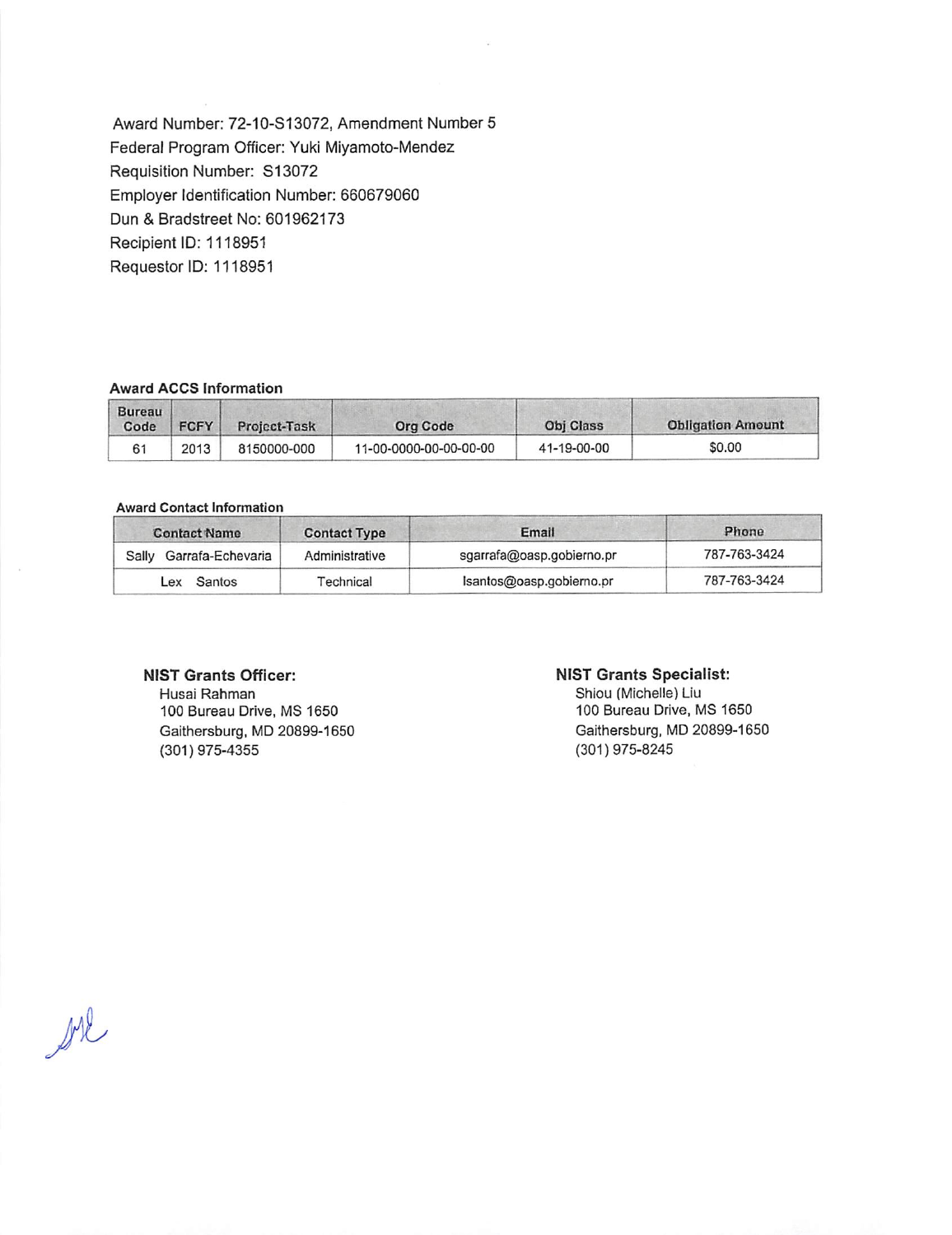Award Number: 72-10-S13072, Amendment Number 5 Federal Program Officer: Yuki Miyamoto-Mendez Requisition Number: S13072 Employer Identification Number: 660679060 Dun & Bradstreet No: 601962173 Recipient ID: 1118951 Requestor ID: 1118951

## **Award ACCS Information**

| Bureau<br>Code | <b>FCFY</b> | Project-Task | Org Code               | Obi Class   | <b>Obligation Amount</b> |
|----------------|-------------|--------------|------------------------|-------------|--------------------------|
| 61             | 2013        | 8150000-000  | 11-00-0000-00-00-00-00 | 41-19-00-00 | \$0.00                   |

#### **Award Contact information**

| <b>Contact Name</b>        | <b>Contact Type</b> | Email                     | Phone        |  |
|----------------------------|---------------------|---------------------------|--------------|--|
| Garrafa-Echevaria<br>Sally | Administrative      | sgarrafa@oasp.gobierno.pr | 787-763-3424 |  |
| Lex Santos                 | <b>Fechnical</b>    | Isantos@oasp.gobierno.pr  | 787-763-3424 |  |

# **NIST Grants Officer:**

Husai Rahman 100 Bureau Drive, MS 1650 Gaithersburg, MD 20899-1650 (301) 975-4355

## **NIST Grants Specialist:**

Shiou (Michelle} Liu 100 Bureau Drive, MS 1650 Gaithersburg, MD 20899-1650 (301) 975-8245

bil